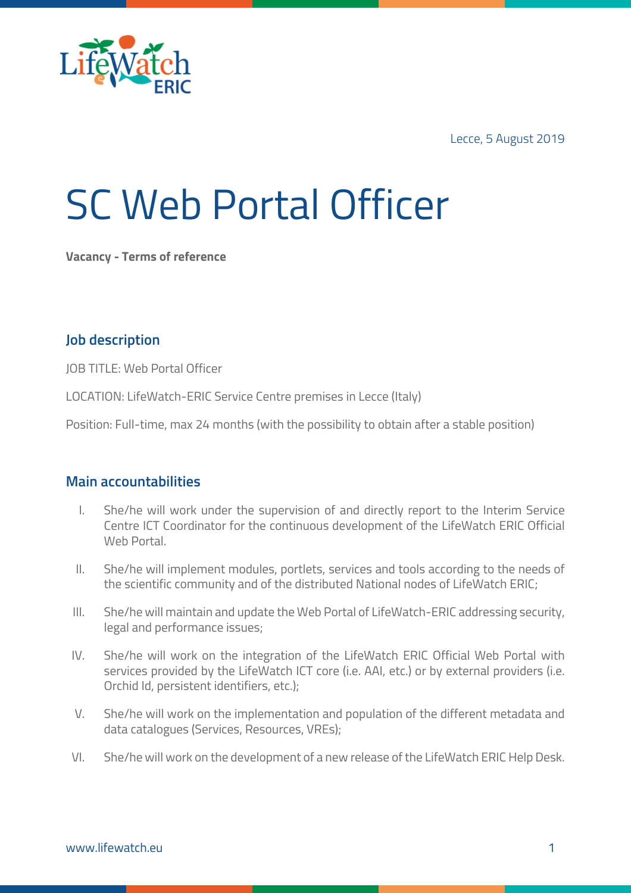

Lecce, 5 August 2019

# SC Web Portal Officer

**Vacancy - Terms of reference**

### **Job description**

JOB TITLE: Web Portal Officer

LOCATION: LifeWatch-ERIC Service Centre premises in Lecce (Italy)

Position: Full-time, max 24 months (with the possibility to obtain after a stable position)

#### **Main accountabilities**

- I. She/he will work under the supervision of and directly report to the Interim Service Centre ICT Coordinator for the continuous development of the LifeWatch ERIC Official Web Portal.
- II. She/he will implement modules, portlets, services and tools according to the needs of the scientific community and of the distributed National nodes of LifeWatch ERIC;
- III. She/he will maintain and update the Web Portal of LifeWatch-ERIC addressing security, legal and performance issues;
- IV. She/he will work on the integration of the LifeWatch ERIC Official Web Portal with services provided by the LifeWatch ICT core (i.e. AAI, etc.) or by external providers (i.e. Orchid Id, persistent identifiers, etc.);
- V. She/he will work on the implementation and population of the different metadata and data catalogues (Services, Resources, VREs);
- VI. She/he will work on the development of a new release of the LifeWatch ERIC Help Desk.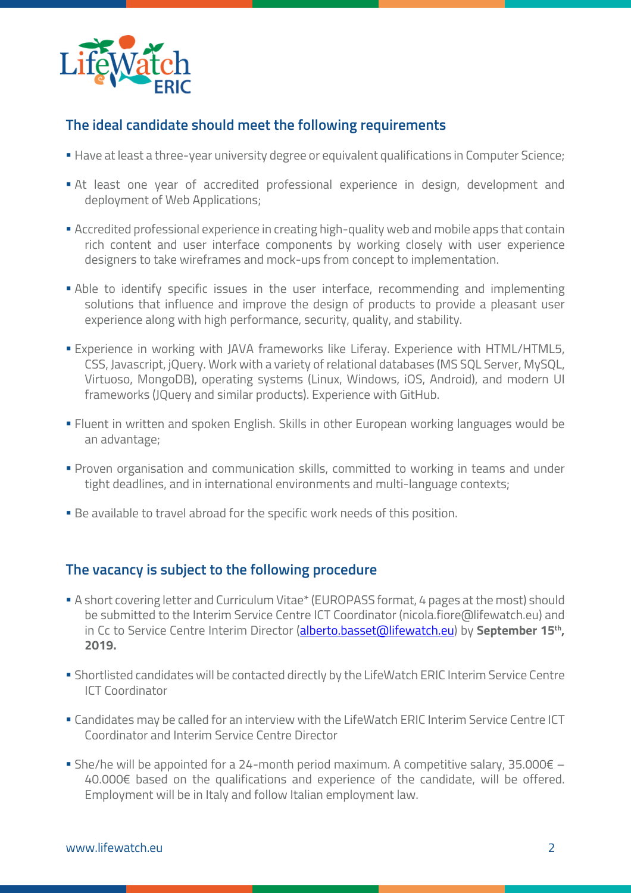

## **The ideal candidate should meet the following requirements**

- § Have at least a three-year university degree or equivalent qualifications in Computer Science;
- § At least one year of accredited professional experience in design, development and deployment of Web Applications;
- **Exercedited professional experience in creating high-quality web and mobile apps that contain** rich content and user interface components by working closely with user experience designers to take wireframes and mock-ups from concept to implementation.
- § Able to identify specific issues in the user interface, recommending and implementing solutions that influence and improve the design of products to provide a pleasant user experience along with high performance, security, quality, and stability.
- **Experience in working with JAVA frameworks like Liferay. Experience with HTML/HTML5,** CSS, Javascript, jQuery. Work with a variety of relational databases (MS SQL Server, MySQL, Virtuoso, MongoDB), operating systems (Linux, Windows, iOS, Android), and modern UI frameworks (JQuery and similar products). Experience with GitHub.
- § Fluent in written and spoken English. Skills in other European working languages would be an advantage;
- § Proven organisation and communication skills, committed to working in teams and under tight deadlines, and in international environments and multi-language contexts;
- Be available to travel abroad for the specific work needs of this position.

#### **The vacancy is subject to the following procedure**

- § A short covering letter and Curriculum Vitae\* (EUROPASS format, 4 pages at the most) should be submitted to the Interim Service Centre ICT Coordinator (nicola.fiore@lifewatch.eu) and in Cc to Service Centre Interim Director (alberto.basset@lifewatch.eu) by **September 15th, 2019.**
- § Shortlisted candidates will be contacted directly by the LifeWatch ERIC Interim Service Centre ICT Coordinator
- **Candidates may be called for an interview with the LifeWatch ERIC Interim Service Centre ICT** Coordinator and Interim Service Centre Director
- She/he will be appointed for a 24-month period maximum. A competitive salary, 35.000 $\epsilon$  40.000€ based on the qualifications and experience of the candidate, will be offered. Employment will be in Italy and follow Italian employment law.